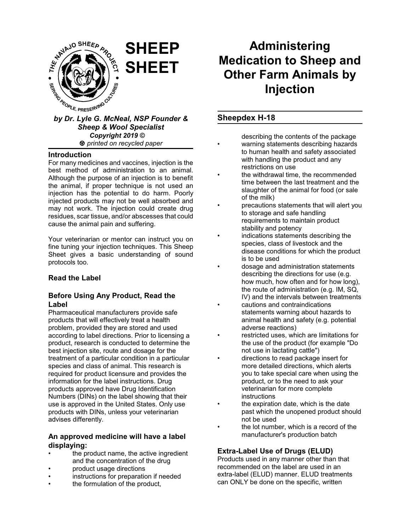

# *Sheep & Wool Specialist Copyright 2019 © printed on recycled paper*

#### **Introduction**

For many medicines and vaccines, injection is the best method of administration to an animal. Although the purpose of an injection is to benefit the animal, if proper technique is not used an injection has the potential to do harm. Poorly injected products may not be well absorbed and may not work. The injection could create drug residues, scar tissue, and/or abscesses that could cause the animal pain and suffering.

Your veterinarian or mentor can instruct you on fine tuning your injection techniques. This Sheep Sheet gives a basic understanding of sound protocols too.

# **Read the Label**

## **Before Using Any Product, Read the Label**

Pharmaceutical manufacturers provide safe products that will effectively treat a health problem, provided they are stored and used according to label directions. Prior to licensing a product, research is conducted to determine the best injection site, route and dosage for the treatment of a particular condition in a particular species and class of animal. This research is required for product licensure and provides the information for the label instructions. Drug products approved have Drug Identification Numbers (DINs) on the label showing that their use is approved in the United States. Only use products with DINs, unless your veterinarian advises differently.

# **An approved medicine will have a label displaying:**

- the product name, the active ingredient and the concentration of the drug
- product usage directions
- instructions for preparation if needed
- the formulation of the product,

# **Administering Medication to Sheep and Other Farm Animals by Injection**

# **Sheepdex H-18**

describing the contents of the package

- warning statements describing hazards to human health and safety associated with handling the product and any restrictions on use
- the withdrawal time, the recommended time between the last treatment and the slaughter of the animal for food (or sale of the milk)
- precautions statements that will alert you to storage and safe handling requirements to maintain product stability and potency
- indications statements describing the species, class of livestock and the disease conditions for which the product is to be used
- dosage and administration statements describing the directions for use (e.g. how much, how often and for how long), the route of administration (e.g. IM, SQ, IV) and the intervals between treatments
- cautions and contraindications statements warning about hazards to animal health and safety (e.g. potential adverse reactions)
- restricted uses, which are limitations for the use of the product (for example "Do not use in lactating cattle")
- directions to read package insert for more detailed directions, which alerts you to take special care when using the product, or to the need to ask your veterinarian for more complete instructions
- the expiration date, which is the date past which the unopened product should not be used
- the lot number, which is a record of the manufacturer's production batch

# **Extra-Label Use of Drugs (ELUD)**

Products used in any manner other than that recommended on the label are used in an extra-label (ELUD) manner. ELUD treatments can ONLY be done on the specific, written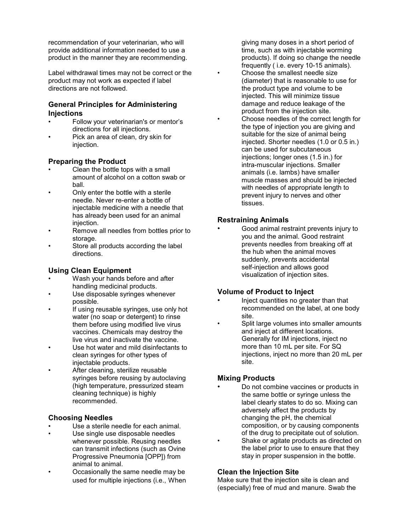recommendation of your veterinarian, who will provide additional information needed to use a product in the manner they are recommending.

Label withdrawal times may not be correct or the product may not work as expected if label directions are not followed.

## **General Principles for Administering Injections**

- Follow your veterinarian's or mentor's directions for all injections.
- Pick an area of clean, dry skin for injection.

## **Preparing the Product**

- Clean the bottle tops with a small amount of alcohol on a cotton swab or ball.
- Only enter the bottle with a sterile needle. Never re-enter a bottle of injectable medicine with a needle that has already been used for an animal injection.
- Remove all needles from bottles prior to storage.
- Store all products according the label directions.

# **Using Clean Equipment**

- Wash your hands before and after handling medicinal products.
- Use disposable syringes whenever possible.
- If using reusable syringes, use only hot water (no soap or detergent) to rinse them before using modified live virus vaccines. Chemicals may destroy the live virus and inactivate the vaccine.
- Use hot water and mild disinfectants to clean syringes for other types of injectable products.
- After cleaning, sterilize reusable syringes before reusing by autoclaving (high temperature, pressurized steam cleaning technique) is highly recommended.

# **Choosing Needles**

- Use a sterile needle for each animal.
- Use single use disposable needles whenever possible. Reusing needles can transmit infections (such as Ovine Progressive Pneumonia [OPP]) from animal to animal.
- Occasionally the same needle may be used for multiple injections (i.e., When

giving many doses in a short period of time, such as with injectable worming products). If doing so change the needle frequently ( i.e. every 10-15 animals). • Choose the smallest needle size (diameter) that is reasonable to use for the product type and volume to be injected. This will minimize tissue damage and reduce leakage of the product from the injection site. • Choose needles of the correct length for the type of injection you are giving and suitable for the size of animal being injected. Shorter needles (1.0 or 0.5 in.) can be used for subcutaneous injections; longer ones (1.5 in.) for intra-muscular injections. Smaller animals (i.e. lambs) have smaller muscle masses and should be injected with needles of appropriate length to prevent injury to nerves and other tissues.

# **Restraining Animals**

• Good animal restraint prevents injury to you and the animal. Good restraint prevents needles from breaking off at the hub when the animal moves suddenly, prevents accidental self-injection and allows good visualization of injection sites.

#### **Volume of Product to Inject**

- Inject quantities no greater than that recommended on the label, at one body site.
- Split large volumes into smaller amounts and inject at different locations. Generally for IM injections, inject no more than 10 mL per site. For SQ injections, inject no more than 20 mL per site.

# **Mixing Products**

• Do not combine vaccines or products in the same bottle or syringe unless the label clearly states to do so. Mixing can adversely affect the products by changing the pH, the chemical composition, or by causing components of the drug to precipitate out of solution. Shake or agitate products as directed on the label prior to use to ensure that they stay in proper suspension in the bottle.

# **Clean the Injection Site**

Make sure that the injection site is clean and (especially) free of mud and manure. Swab the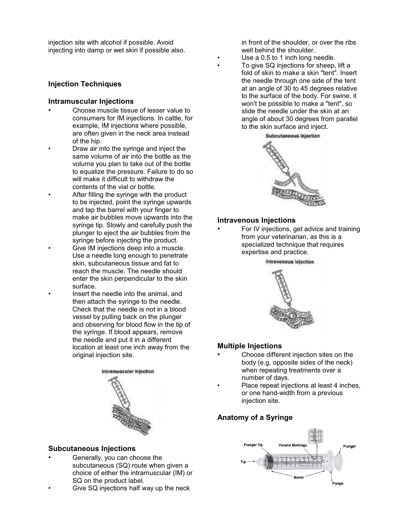injection site with alcohol if possible. Avoid injecting into damp or wet skin if possible also.

#### **Injection Techniques**

#### **Intramuscular Injections**

- Choose muscle tissue of lesser value to consumers for IM injections. In cattle, for example, IM injections where possible, are often given in the neck area instead of the hip.
	- Draw air into the syringe and inject the same volume of air into the bottle as the volume you plan to take out of the bottle to equalize the pressure. Failure to do so will make it difficult to withdraw the contents of the vial or bottle.
	- After filling the syringe with the product to be injected, point the syringe upwards and tap the barrel with your finger to make air bubbles move upwards into the syringe tip. Slowly and carefully push the plunger to eject the air bubbles from the syringe before injecting the product. • Give IM injections deep into a muscle.
		- Use a needle long enough to penetrate skin, subcutaneous tissue and fat to reach the muscle. The needle should enter the skin perpendicular to the skin surface.
		- Insert the needle into the animal, and then attach the syringe to the needle. Check that the needle is not in a blood vessel by pulling back on the plunger and observing for blood flow in the tip of the syringe. If blood appears, remove the needle and put it in a different location at least one inch away from the original injection site.



#### **Subcutaneous Injections**

- Generally, you can choose the subcutaneous (SQ) route when given a choice of either the intramuscular (IM) or SQ on the product label.
- Give SQ injections half way up the neck

in front of the shoulder, or over the ribs well behind the shoulder

- Use a 0.5 to 1 inch long needle.
- To give SQ injections for sheep, lift a fold of skin to make a skin "tent". Insert the needle through one side of the tent at an angle of 30 to 45 degrees relative to the surface of the body. For swine, it won't be possible to make a "tent", so slide the needle under the skin at an angle of about 30 degrees from parallel to the skin surface and inject.



#### **Intravenous Injections**

• For IV injections, get advice and training from your veterinarian, as this is a specialized technique that requires expertise and practice.



#### **Multiple Injections**

- Choose different injection sites on the body (e.g. opposite sides of the neck) when repeating treatments over a number of days.
- Place repeat injections at least 4 inches, or one hand-width from a previous injection site.

# **Anatomy of a Syringe**